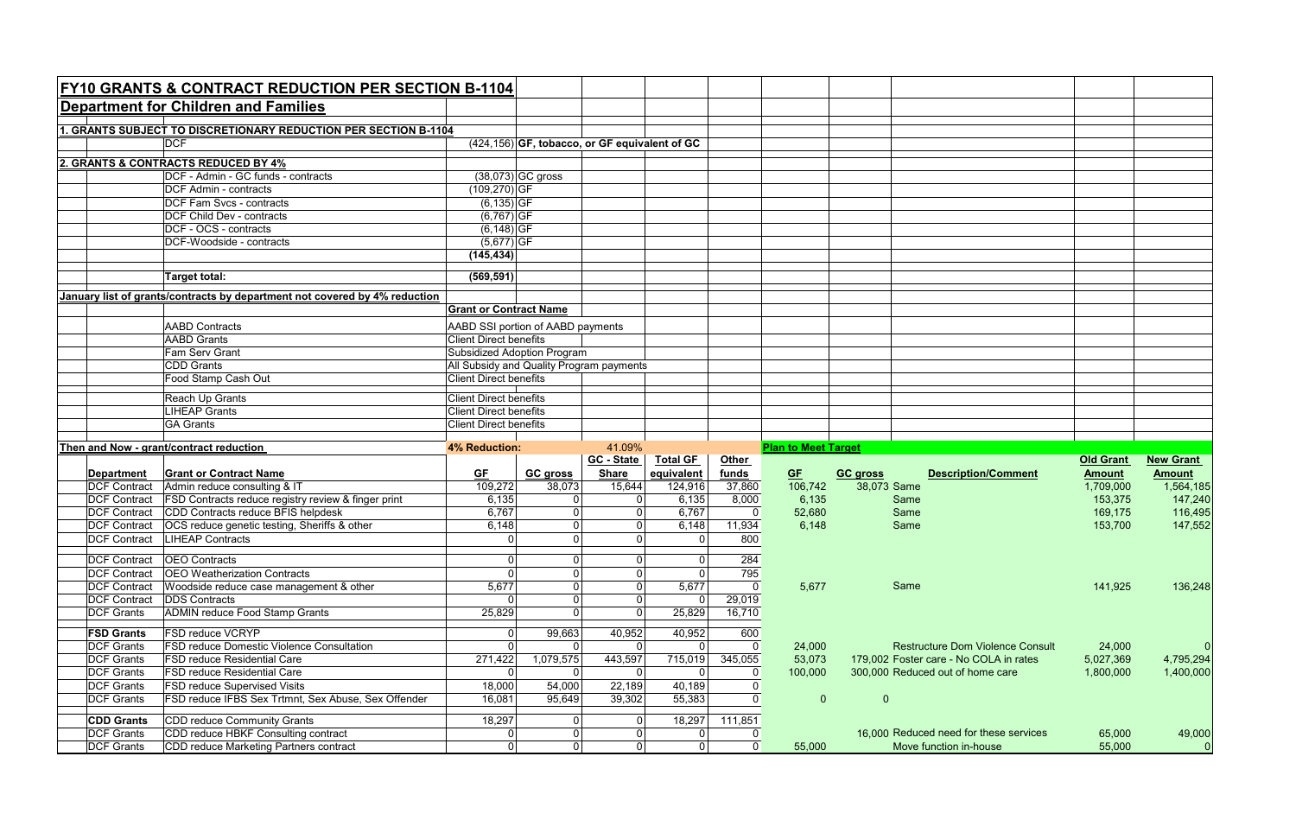|                                            | <b>FY10 GRANTS &amp; CONTRACT REDUCTION PER SECTION B-1104</b>                |                                          |                                                  |                   |                                  |                            |                            |                 |                                                                  |                  |                  |
|--------------------------------------------|-------------------------------------------------------------------------------|------------------------------------------|--------------------------------------------------|-------------------|----------------------------------|----------------------------|----------------------------|-----------------|------------------------------------------------------------------|------------------|------------------|
|                                            | <b>Department for Children and Families</b>                                   |                                          |                                                  |                   |                                  |                            |                            |                 |                                                                  |                  |                  |
|                                            | 1. GRANTS SUBJECT TO DISCRETIONARY REDUCTION PER SECTION B-1104               |                                          |                                                  |                   |                                  |                            |                            |                 |                                                                  |                  |                  |
|                                            | <b>DCF</b>                                                                    |                                          | $(424, 156)$ GF, tobacco, or GF equivalent of GC |                   |                                  |                            |                            |                 |                                                                  |                  |                  |
|                                            |                                                                               |                                          |                                                  |                   |                                  |                            |                            |                 |                                                                  |                  |                  |
| 2. GRANTS & CONTRACTS REDUCED BY 4%        |                                                                               |                                          |                                                  |                   |                                  |                            |                            |                 |                                                                  |                  |                  |
|                                            | DCF - Admin - GC funds - contracts<br><b>DCF</b> Admin - contracts            |                                          | $(38,073)$ GC gross                              |                   |                                  |                            |                            |                 |                                                                  |                  |                  |
|                                            | <b>DCF Fam Svcs - contracts</b>                                               | $(109, 270)$ GF<br>$(6, 135)$ GF         |                                                  |                   |                                  |                            |                            |                 |                                                                  |                  |                  |
|                                            | <b>DCF Child Dev - contracts</b>                                              | $(6,767)$ GF                             |                                                  |                   |                                  |                            |                            |                 |                                                                  |                  |                  |
|                                            | DCF - OCS - contracts                                                         | $(6, 148)$ GF                            |                                                  |                   |                                  |                            |                            |                 |                                                                  |                  |                  |
|                                            | DCF-Woodside - contracts                                                      | $(5,677)$ GF                             |                                                  |                   |                                  |                            |                            |                 |                                                                  |                  |                  |
|                                            |                                                                               | (145, 434)                               |                                                  |                   |                                  |                            |                            |                 |                                                                  |                  |                  |
|                                            | <b>Target total:</b>                                                          | (569, 591)                               |                                                  |                   |                                  |                            |                            |                 |                                                                  |                  |                  |
|                                            | January list of grants/contracts by department not covered by 4% reduction    |                                          |                                                  |                   |                                  |                            |                            |                 |                                                                  |                  |                  |
|                                            |                                                                               | <b>Grant or Contract Name</b>            |                                                  |                   |                                  |                            |                            |                 |                                                                  |                  |                  |
|                                            | <b>AABD</b> Contracts                                                         |                                          |                                                  |                   |                                  |                            |                            |                 |                                                                  |                  |                  |
|                                            | <b>AABD</b> Grants                                                            | <b>Client Direct benefits</b>            | AABD SSI portion of AABD payments                |                   |                                  |                            |                            |                 |                                                                  |                  |                  |
|                                            | Fam Serv Grant                                                                | Subsidized Adoption Program              |                                                  |                   |                                  |                            |                            |                 |                                                                  |                  |                  |
|                                            | CDD Grants                                                                    | All Subsidy and Quality Program payments |                                                  |                   |                                  |                            |                            |                 |                                                                  |                  |                  |
| Food Stamp Cash Out                        |                                                                               | <b>Client Direct benefits</b>            |                                                  |                   |                                  |                            |                            |                 |                                                                  |                  |                  |
|                                            |                                                                               |                                          |                                                  |                   |                                  |                            |                            |                 |                                                                  |                  |                  |
| Reach Up Grants                            |                                                                               | <b>Client Direct benefits</b>            |                                                  |                   |                                  |                            |                            |                 |                                                                  |                  |                  |
| <b>LIHEAP Grants</b>                       |                                                                               |                                          | <b>Client Direct benefits</b>                    |                   |                                  |                            |                            |                 |                                                                  |                  |                  |
|                                            | <b>GA Grants</b>                                                              | <b>Client Direct benefits</b>            |                                                  |                   |                                  |                            |                            |                 |                                                                  |                  |                  |
|                                            |                                                                               |                                          |                                                  |                   |                                  |                            |                            |                 |                                                                  |                  |                  |
|                                            |                                                                               | 4% Reduction:                            |                                                  | 41.09%            |                                  |                            |                            |                 |                                                                  |                  |                  |
|                                            | Then and Now - grant/contract reduction                                       |                                          |                                                  | <b>GC - State</b> | <b>Total GF</b>                  | <b>Other</b>               | <b>Plan to Meet Target</b> |                 |                                                                  | <b>Old Grant</b> | <b>New Grant</b> |
| <b>Department</b>                          | <b>Grant or Contract Name</b>                                                 | GF                                       | <b>GC gross</b>                                  | <b>Share</b>      | equivalent                       | funds                      | GE                         | <b>GC gross</b> | <b>Description/Comment</b>                                       | <b>Amount</b>    | <b>Amount</b>    |
| <b>DCF Contract</b>                        | Admin reduce consulting & IT                                                  | 109,272                                  | 38,073                                           | 15,644            | 124,916                          | 37,860                     | 106,742                    | 38,073 Same     |                                                                  | 1,709,000        | 1,564,185        |
| <b>DCF Contract</b>                        | <b>FSD Contracts reduce registry review &amp; finger print</b>                | 6,135                                    | $\overline{0}$                                   | 0                 | 6,135                            | 8,000                      | 6,135                      |                 | Same                                                             | 153,375          | 147,240          |
| <b>DCF Contract</b>                        | CDD Contracts reduce BFIS helpdesk                                            | 6,767                                    | $\overline{0}$                                   | $\mathbf 0$       | 6,767                            | $\mathbf{0}$               | 52,680                     |                 | Same                                                             | 169,175          | 116,495          |
| <b>DCF Contract</b>                        | OCS reduce genetic testing, Sheriffs & other                                  | 6,148                                    | $\overline{0}$                                   |                   | 6,148                            | 11,934                     | 6,148                      |                 | Same                                                             | 153,700          | 147,552          |
| <b>DCF Contract</b>                        | <b>LIHEAP Contracts</b>                                                       | ∩                                        | $\overline{0}$                                   | 0                 | $\overline{0}$                   | 800                        |                            |                 |                                                                  |                  |                  |
|                                            |                                                                               | $\Omega$                                 |                                                  |                   |                                  |                            |                            |                 |                                                                  |                  |                  |
| <b>DCF Contract</b>                        | <b>OEO</b> Contracts                                                          | $\Omega$                                 | $\overline{0}$                                   |                   | $\overline{0}$                   | 284                        |                            |                 |                                                                  |                  |                  |
| <b>DCF Contract</b>                        | <b>OEO</b> Weatherization Contracts                                           |                                          | $\overline{0}$<br>$\overline{0}$                 |                   |                                  | 795                        |                            |                 | Same                                                             |                  |                  |
| <b>DCF Contract</b><br><b>DCF Contract</b> | Woodside reduce case management & other<br><b>DDS</b> Contracts               | 5,677                                    | $\overline{0}$                                   |                   | 5,677<br>$\overline{0}$          | $\boldsymbol{0}$<br>29,019 | 5,677                      |                 |                                                                  | 141,925          | 136,248          |
| <b>DCF Grants</b>                          | <b>ADMIN reduce Food Stamp Grants</b>                                         | 25,829                                   | $\overline{0}$                                   | $\mathbf 0$       | 25,829                           | 16,710                     |                            |                 |                                                                  |                  |                  |
| <b>FSD Grants</b>                          | <b>FSD reduce VCRYP</b>                                                       |                                          |                                                  |                   |                                  |                            |                            |                 |                                                                  |                  |                  |
| <b>DCF Grants</b>                          | <b>FSD reduce Domestic Violence Consultation</b>                              | $\Omega$                                 | 99,663<br> 0                                     | 40,952            | 40,952<br>$\overline{0}$         | 600<br>$\mathbf 0$         | 24,000                     |                 | <b>Restructure Dom Violence Consult</b>                          | 24,000           |                  |
| <b>DCF Grants</b>                          | <b>FSD reduce Residential Care</b>                                            | 271,422                                  | 1,079,575                                        | 443,597           | 715,019                          | 345,055                    | 53,073                     |                 | 179.002 Foster care - No COLA in rates                           | 5,027,369        | 4,795,294        |
| <b>DCF Grants</b>                          | <b>FSD reduce Residential Care</b>                                            |                                          | $\Omega$                                         |                   | $\overline{0}$                   | 0                          | 100,000                    |                 | 300,000 Reduced out of home care                                 | 1,800,000        | 1,400,000        |
| <b>DCF Grants</b>                          | <b>FSD reduce Supervised Visits</b>                                           | 18,000                                   | 54,000                                           | 22,189            | 40,189                           | 0                          |                            |                 |                                                                  |                  |                  |
| <b>DCF Grants</b>                          | FSD reduce IFBS Sex Trtmnt, Sex Abuse, Sex Offender                           | 16,081                                   | 95,649                                           | 39,302            | 55,383                           | 0                          | $\overline{0}$             | $\overline{0}$  |                                                                  |                  |                  |
|                                            |                                                                               |                                          |                                                  |                   |                                  |                            |                            |                 |                                                                  |                  |                  |
| <b>CDD Grants</b>                          | CDD reduce Community Grants                                                   | 18,297                                   | $\overline{0}$                                   |                   | 18,297                           | 111,851                    |                            |                 |                                                                  |                  |                  |
| <b>DCF Grants</b><br><b>DCF Grants</b>     | CDD reduce HBKF Consulting contract<br>CDD reduce Marketing Partners contract | 0<br>$\Omega$                            | $\overline{0}$<br>$\overline{0}$                 | $\overline{0}$    | $\overline{0}$<br>$\overline{0}$ | $\mathbf 0$                | 55,000                     |                 | 16,000 Reduced need for these services<br>Move function in-house | 65,000<br>55,000 | 49,000           |